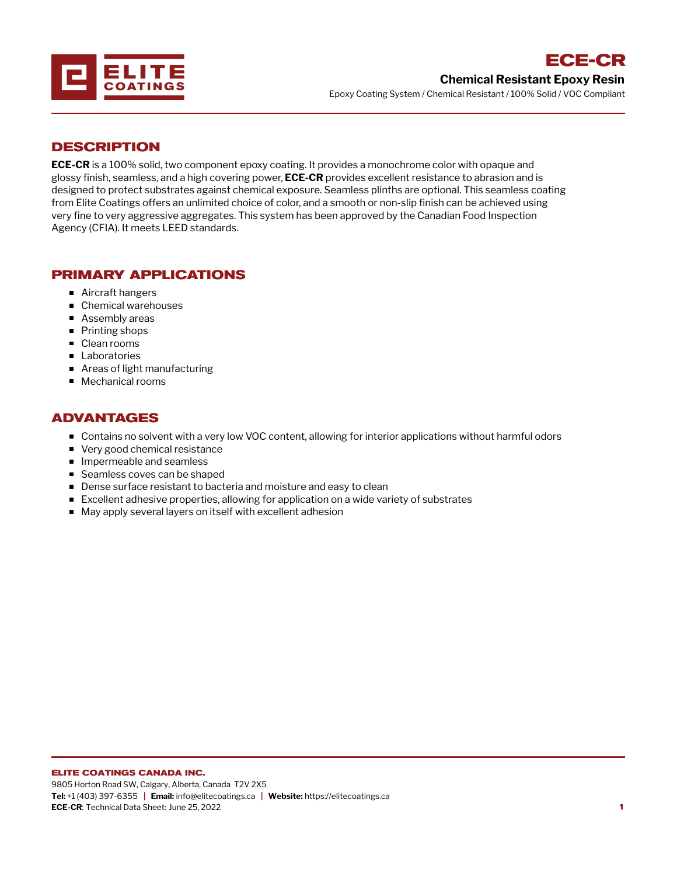

### **DESCRIPTION**

**ECE-CR** is a 100% solid, two component epoxy coating. It provides a monochrome color with opaque and glossy finish, seamless, and a high covering power, **ECE-CR** provides excellent resistance to abrasion and is designed to protect substrates against chemical exposure. Seamless plinths are optional. This seamless coating from Elite Coatings offers an unlimited choice of color, and a smooth or non-slip finish can be achieved using very fine to very aggressive aggregates. This system has been approved by the Canadian Food Inspection Agency (CFIA). It meets LEED standards.

## **PRIMARY APPLICATIONS**

- Aircraft hangers
- Chemical warehouses
- Assembly areas
- Printing shops
- Clean rooms
- **Laboratories**
- Areas of light manufacturing
- **Mechanical rooms**

# **ADVANTAGES**

- Contains no solvent with a very low VOC content, allowing for interior applications without harmful odors
- Very good chemical resistance
- **Impermeable and seamless**
- Seamless coves can be shaped
- **Dense surface resistant to bacteria and moisture and easy to clean**
- Excellent adhesive properties, allowing for application on a wide variety of substrates
- May apply several layers on itself with excellent adhesion

#### **ELITE COATINGS CANADA INC.**

9805 Horton Road SW, Calgary, Alberta, Canada T2V 2X5 **Tel:** +1 (403) 397-6355 **| Email:** info@elitecoatings.ca **| Website:** https://elitecoatings.ca **ECE-CR**: Technical Data Sheet: June 25, 2022 **1**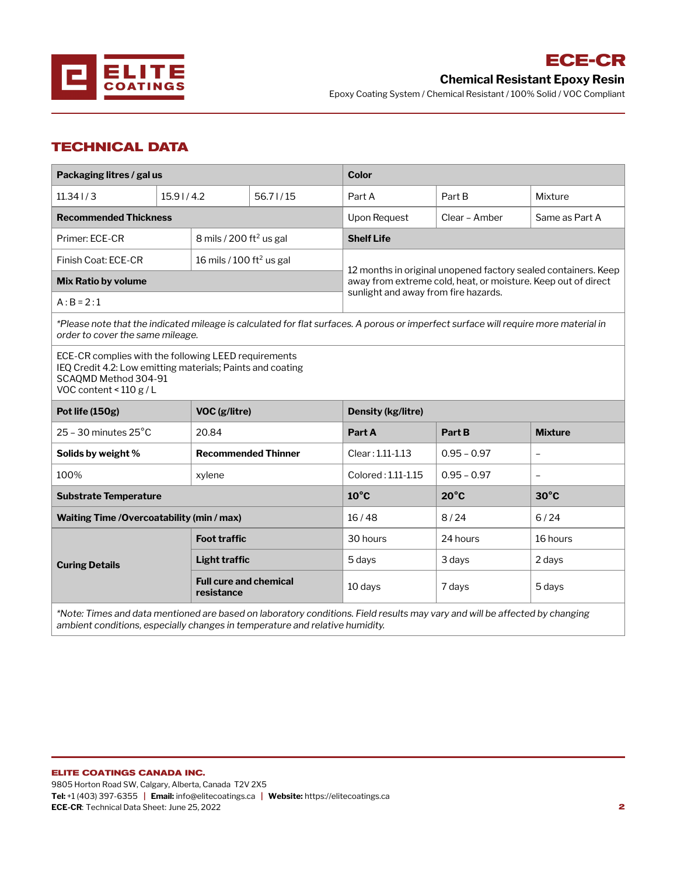

**ECE-CR**

Epoxy Coating System / Chemical Resistant / 100% Solid / VOC Compliant

## **TECHNICAL DATA**

| Packaging litres / gal us                                                                                                                                                |                                      |                               | <b>Color</b>                                                                                                                                                            |                |                          |  |  |  |
|--------------------------------------------------------------------------------------------------------------------------------------------------------------------------|--------------------------------------|-------------------------------|-------------------------------------------------------------------------------------------------------------------------------------------------------------------------|----------------|--------------------------|--|--|--|
| 11.341/3                                                                                                                                                                 | 15.91/4.2                            | 56.71/15                      | Part A                                                                                                                                                                  | Part B         | Mixture                  |  |  |  |
| <b>Recommended Thickness</b>                                                                                                                                             |                                      |                               | <b>Upon Request</b>                                                                                                                                                     | Clear - Amber  | Same as Part A           |  |  |  |
| Primer: ECE-CR<br>8 mils / 200 ft <sup>2</sup> us gal                                                                                                                    |                                      |                               | <b>Shelf Life</b>                                                                                                                                                       |                |                          |  |  |  |
| Finish Coat: ECE-CR                                                                                                                                                      | 16 mils / 100 ft <sup>2</sup> us gal |                               |                                                                                                                                                                         |                |                          |  |  |  |
| <b>Mix Ratio by volume</b>                                                                                                                                               |                                      |                               | 12 months in original unopened factory sealed containers. Keep<br>away from extreme cold, heat, or moisture. Keep out of direct<br>sunlight and away from fire hazards. |                |                          |  |  |  |
| $A:B = 2:1$                                                                                                                                                              |                                      |                               |                                                                                                                                                                         |                |                          |  |  |  |
| *Please note that the indicated mileage is calculated for flat surfaces. A porous or imperfect surface will require more material in<br>order to cover the same mileage. |                                      |                               |                                                                                                                                                                         |                |                          |  |  |  |
| ECE-CR complies with the following LEED requirements<br>IEQ Credit 4.2: Low emitting materials; Paints and coating<br>SCAQMD Method 304-91<br>VOC content < $110 g/L$    |                                      |                               |                                                                                                                                                                         |                |                          |  |  |  |
| Pot life (150g)                                                                                                                                                          | VOC (g/litre)                        |                               | <b>Density (kg/litre)</b>                                                                                                                                               |                |                          |  |  |  |
| $25 - 30$ minutes $25^{\circ}$ C                                                                                                                                         | 20.84                                |                               | Part A                                                                                                                                                                  | Part B         | <b>Mixture</b>           |  |  |  |
| Solids by weight %                                                                                                                                                       |                                      | <b>Recommended Thinner</b>    | Clear: 1.11-1.13                                                                                                                                                        | $0.95 - 0.97$  | $\overline{\phantom{0}}$ |  |  |  |
| 100%                                                                                                                                                                     | xylene                               |                               | Colored: 1.11-1.15                                                                                                                                                      | $0.95 - 0.97$  | $\overline{a}$           |  |  |  |
| <b>Substrate Temperature</b>                                                                                                                                             |                                      |                               |                                                                                                                                                                         |                |                          |  |  |  |
|                                                                                                                                                                          |                                      |                               | $10^{\circ}$ C                                                                                                                                                          | $20^{\circ}$ C | $30^{\circ}$ C           |  |  |  |
| Waiting Time / Overcoatability (min / max)                                                                                                                               |                                      |                               | 16/48                                                                                                                                                                   | 8/24           | 6/24                     |  |  |  |
|                                                                                                                                                                          | <b>Foot traffic</b>                  |                               | 30 hours                                                                                                                                                                | 24 hours       | 16 hours                 |  |  |  |
| <b>Curing Details</b>                                                                                                                                                    | Light traffic                        |                               | 5 days                                                                                                                                                                  | 3 days         | 2 days                   |  |  |  |
|                                                                                                                                                                          | resistance                           | <b>Full cure and chemical</b> | 10 days                                                                                                                                                                 | 7 days         | 5 days                   |  |  |  |

*ambient conditions, especially changes in temperature and relative humidity.*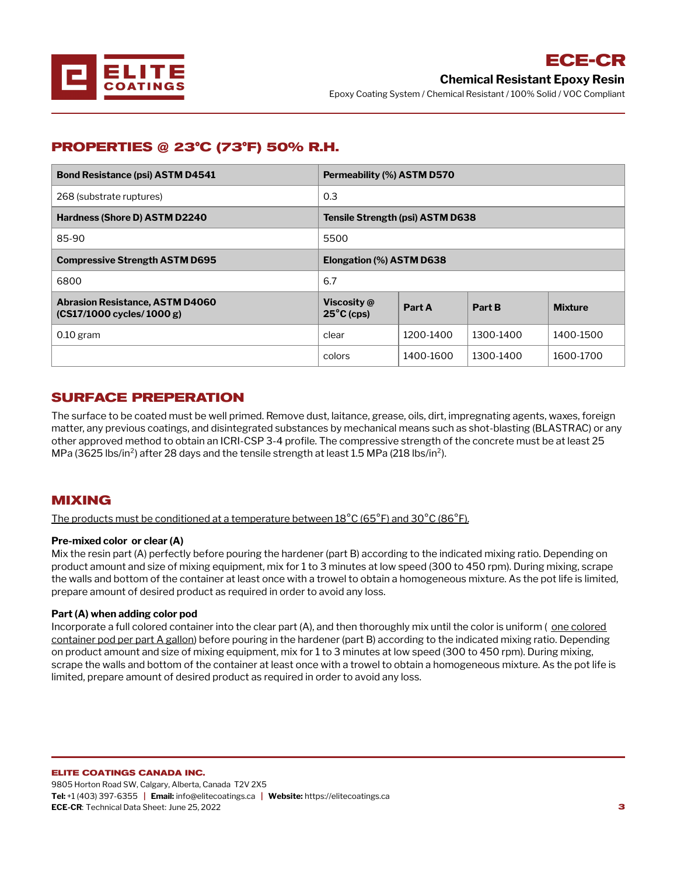

## **PROPERTIES @ 23°C (73°F) 50% R.H.**

| <b>Bond Resistance (psi) ASTM D4541</b>                               | Permeability (%) ASTM D570          |           |           |                |  |  |
|-----------------------------------------------------------------------|-------------------------------------|-----------|-----------|----------------|--|--|
| 268 (substrate ruptures)                                              | 0.3                                 |           |           |                |  |  |
| Hardness (Shore D) ASTM D2240                                         | Tensile Strength (psi) ASTM D638    |           |           |                |  |  |
| 85-90                                                                 | 5500                                |           |           |                |  |  |
| <b>Compressive Strength ASTM D695</b>                                 | Elongation (%) ASTM D638            |           |           |                |  |  |
| 6800                                                                  | 6.7                                 |           |           |                |  |  |
| <b>Abrasion Resistance, ASTM D4060</b><br>$(CS17/1000$ cycles/1000 g) | Viscosity @<br>$25^{\circ}$ C (cps) | Part A    | Part B    | <b>Mixture</b> |  |  |
| $0.10$ gram                                                           | clear                               | 1200-1400 | 1300-1400 | 1400-1500      |  |  |
|                                                                       | colors                              | 1400-1600 | 1300-1400 | 1600-1700      |  |  |

### **SURFACE PREPERATION**

The surface to be coated must be well primed. Remove dust, laitance, grease, oils, dirt, impregnating agents, waxes, foreign matter, any previous coatings, and disintegrated substances by mechanical means such as shot-blasting (BLASTRAC) or any other approved method to obtain an ICRI-CSP 3-4 profile. The compressive strength of the concrete must be at least 25 MPa (3625 lbs/in<sup>2</sup>) after 28 days and the tensile strength at least 1.5 MPa (218 lbs/in<sup>2</sup>).

### **MIXING**

The products must be conditioned at a temperature between  $18^{\circ}$ C (65 $^{\circ}$ F) and 30 $^{\circ}$ C (86 $^{\circ}$ F).

### **Pre-mixed color or clear (A)**

Mix the resin part (A) perfectly before pouring the hardener (part B) according to the indicated mixing ratio. Depending on product amount and size of mixing equipment, mix for 1 to 3 minutes at low speed (300 to 450 rpm). During mixing, scrape the walls and bottom of the container at least once with a trowel to obtain a homogeneous mixture. As the pot life is limited, prepare amount of desired product as required in order to avoid any loss.

### **Part (A) when adding color pod**

Incorporate a full colored container into the clear part (A), and then thoroughly mix until the color is uniform (one colored container pod per part A gallon) before pouring in the hardener (part B) according to the indicated mixing ratio. Depending on product amount and size of mixing equipment, mix for 1 to 3 minutes at low speed (300 to 450 rpm). During mixing, scrape the walls and bottom of the [container](mailto:info@elitecoatings.ca) at least once with a [trowel](https://elitecoatings.ca) to obtain a homogeneous mixture. As the pot life is limited, prepare amount of desired product as required in order to avoid any loss.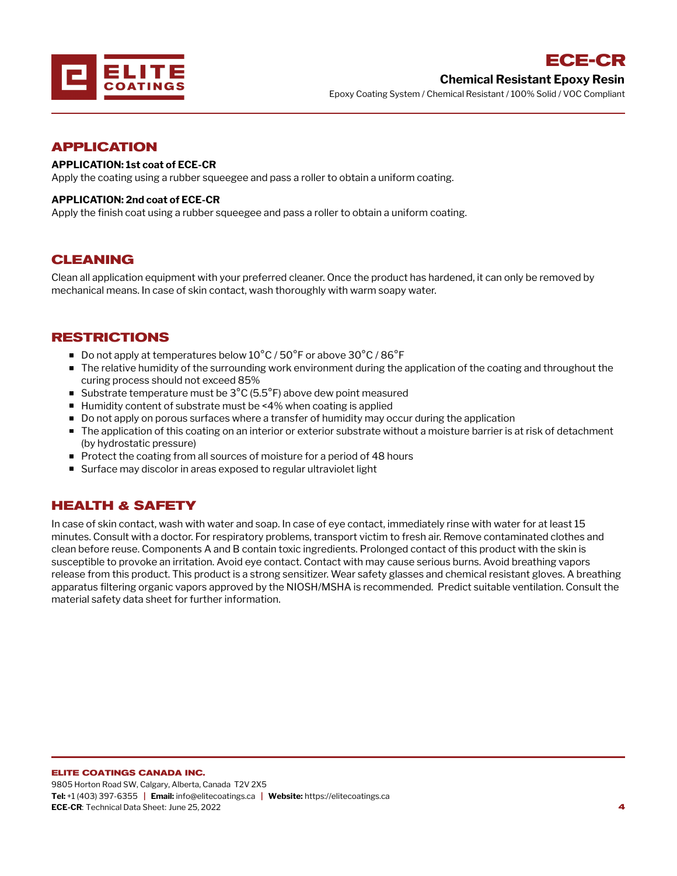

### **APPLICATION**

### **APPLICATION: 1st coat of ECE-CR**

Apply the coating using a rubber squeegee and pass a roller to obtain a uniform coating.

#### **APPLICATION: 2nd coat of ECE-CR**

Apply the finish coat using a rubber squeegee and pass a roller to obtain a uniform coating.

### **CLEANING**

Clean all application equipment with your preferred cleaner. Once the product has hardened, it can only be removed by mechanical means. In case of skin contact, wash thoroughly with warm soapy water.

### **RESTRICTIONS**

- Do not apply at temperatures below  $10^{\circ}$ C / 50 $^{\circ}$ F or above 30 $^{\circ}$ C / 86 $^{\circ}$ F
- The relative humidity of the surrounding work environment during the application of the coating and throughout the curing process should not exceed 85%
- Substrate temperature must be  $3^{\circ}$ C (5.5°F) above dew point measured
- Humidity content of substrate must be <4% when coating is applied
- **Do not apply on porous surfaces where a transfer of humidity may occur during the application**
- **The application of this coating on an interior or exterior substrate without a moisture barrier is at risk of detachment** (by hydrostatic pressure)
- Protect the coating from all sources of moisture for a period of 48 hours
- Surface may discolor in areas exposed to regular ultraviolet light

## **HEALTH & SAFETY**

In case of skin contact, wash with water and soap. In case of eye contact, immediately rinse with water for at least 15 minutes. Consult with a doctor. For respiratory problems, transport victim to fresh air. Remove contaminated clothes and clean before reuse. Components A and B contain toxic ingredients. Prolonged contact of this product with the skin is susceptible to provoke an irritation. Avoid eye contact. Contact with may cause serious burns. Avoid breathing vapors release from this product. This product is a strong sensitizer. Wear safety glasses and chemical resistant gloves. A breathing apparatus filtering organic vapors approved by the NIOSH/MSHA is recommended. Predict suitable ventilation. Consult the material safety data sheet for further information.

#### **ELITE COATINGS CANADA INC.**

9805 Horton Road SW, Calgary, Alberta, Canada T2V 2X5 **Tel:** +1 (403) 397-6355 **| Email:** info@elitecoatings.ca **| Website:** https://elitecoatings.ca **ECE-CR**: Technical Data Sheet: June 25, 2022 **4**